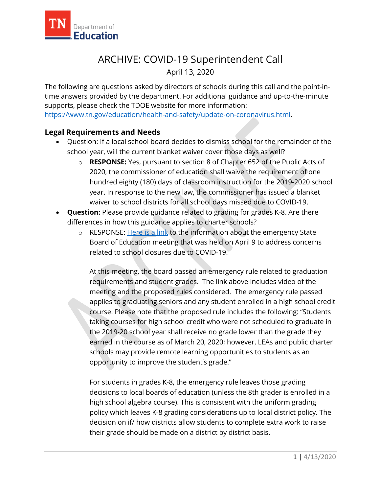

## ARCHIVE: COVID-19 Superintendent Call

April 13, 2020

The following are questions asked by directors of schools during this call and the point-intime answers provided by the department. For additional guidance and up-to-the-minute supports, please check the TDOE website for more information: [https://www.tn.gov/education/health-and-safety/update-on-coronavirus.html.](https://www.tn.gov/education/health-and-safety/update-on-coronavirus.html)

## **Legal Requirements and Needs**

- Question: If a local school board decides to dismiss school for the remainder of the school year, will the current blanket waiver cover those days as well?
	- o **RESPONSE:** Yes, pursuant to section 8 of Chapter 652 of the Public Acts of 2020, the commissioner of education shall waive the requirement of one hundred eighty (180) days of classroom instruction for the 2019-2020 school year. In response to the new law, the commissioner has issued a blanket waiver to school districts for all school days missed due to COVID-19.
- **Question:** Please provide guidance related to grading for grades K-8. Are there differences in how this guidance applies to charter schools?
	- o RESPONSE: [Here is a link](https://www.tn.gov/sbe/meetings/meetings-calendar/2020/4/9/april-9--2020-sbe-conference-call-meeting.html) to the information about the emergency State Board of Education meeting that was held on April 9 to address concerns related to school closures due to COVID-19.

At this meeting, the board passed an emergency rule related to graduation requirements and student grades. The link above includes video of the meeting and the proposed rules considered. The emergency rule passed applies to graduating seniors and any student enrolled in a high school credit course. Please note that the proposed rule includes the following: "Students taking courses for high school credit who were not scheduled to graduate in the 2019-20 school year shall receive no grade lower than the grade they earned in the course as of March 20, 2020; however, LEAs and public charter schools may provide remote learning opportunities to students as an opportunity to improve the student's grade."

For students in grades K-8, the emergency rule leaves those grading decisions to local boards of education (unless the 8th grader is enrolled in a high school algebra course). This is consistent with the uniform grading policy which leaves K-8 grading considerations up to local district policy. The decision on if/ how districts allow students to complete extra work to raise their grade should be made on a district by district basis.